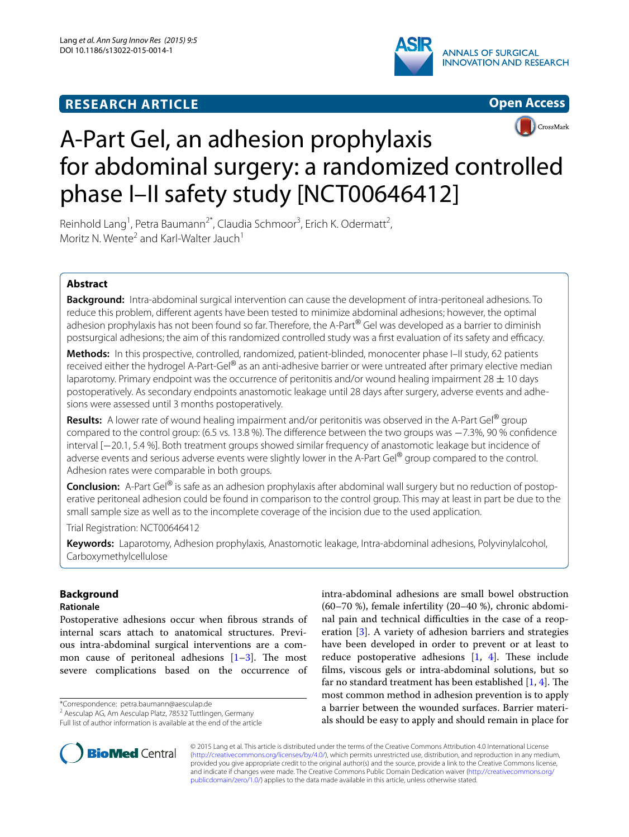# **RESEARCH ARTICLE**







# A-Part Gel, an adhesion prophylaxis for abdominal surgery: a randomized controlled phase I–II safety study [NCT00646412]

Reinhold Lang<sup>1</sup>, Petra Baumann<sup>2\*</sup>, Claudia Schmoor<sup>3</sup>, Erich K. Odermatt<sup>2</sup>, Moritz N. Wente<sup>2</sup> and Karl-Walter Jauch<sup>1</sup>

# **Abstract**

**Background:** Intra-abdominal surgical intervention can cause the development of intra-peritoneal adhesions. To reduce this problem, different agents have been tested to minimize abdominal adhesions; however, the optimal adhesion prophylaxis has not been found so far. Therefore, the A-Part<sup>®</sup> Gel was developed as a barrier to diminish postsurgical adhesions; the aim of this randomized controlled study was a first evaluation of its safety and efficacy.

**Methods:** In this prospective, controlled, randomized, patient-blinded, monocenter phase I–II study, 62 patients received either the hydrogel A-Part-Gel® as an anti-adhesive barrier or were untreated after primary elective median laparotomy. Primary endpoint was the occurrence of peritonitis and/or wound healing impairment 28  $\pm$  10 days postoperatively. As secondary endpoints anastomotic leakage until 28 days after surgery, adverse events and adhesions were assessed until 3 months postoperatively.

**Results:** A lower rate of wound healing impairment and/or peritonitis was observed in the A-Part Gel® group compared to the control group: (6.5 vs. 13.8 %). The difference between the two groups was −7.3%, 90 % confidence interval [−20.1, 5.4 %]. Both treatment groups showed similar frequency of anastomotic leakage but incidence of adverse events and serious adverse events were slightly lower in the A-Part Gel® group compared to the control. Adhesion rates were comparable in both groups.

**Conclusion:** A-Part Gel® is safe as an adhesion prophylaxis after abdominal wall surgery but no reduction of postoperative peritoneal adhesion could be found in comparison to the control group. This may at least in part be due to the small sample size as well as to the incomplete coverage of the incision due to the used application.

Trial Registration: NCT00646412

**Keywords:** Laparotomy, Adhesion prophylaxis, Anastomotic leakage, Intra-abdominal adhesions, Polyvinylalcohol, Carboxymethylcellulose

# **Background**

# **Rationale**

Postoperative adhesions occur when fibrous strands of internal scars attach to anatomical structures. Previous intra-abdominal surgical interventions are a common cause of peritoneal adhesions [\[1](#page-9-0)[–3](#page-9-1)]. The most severe complications based on the occurrence of

\*Correspondence: petra.baumann@aesculap.de

**BioMed Central** 



© 2015 Lang et al. This article is distributed under the terms of the Creative Commons Attribution 4.0 International License [\(http://creativecommons.org/licenses/by/4.0/\)](http://creativecommons.org/licenses/by/4.0/), which permits unrestricted use, distribution, and reproduction in any medium, provided you give appropriate credit to the original author(s) and the source, provide a link to the Creative Commons license, and indicate if changes were made. The Creative Commons Public Domain Dedication waiver ([http://creativecommons.org/](http://creativecommons.org/publicdomain/zero/1.0/) [publicdomain/zero/1.0/](http://creativecommons.org/publicdomain/zero/1.0/)) applies to the data made available in this article, unless otherwise stated.

<sup>&</sup>lt;sup>2</sup> Aesculap AG, Am Aesculap Platz, 78532 Tuttlingen, Germany

Full list of author information is available at the end of the article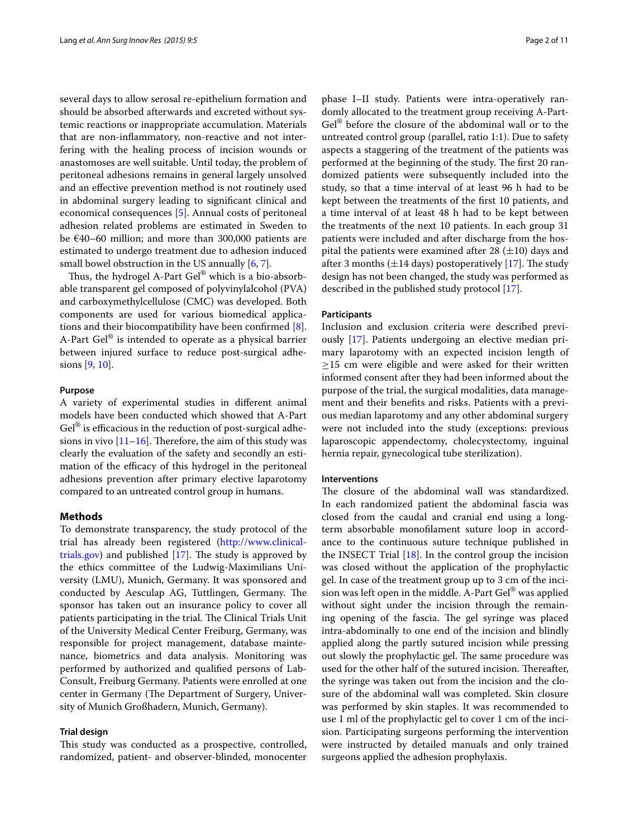several days to allow serosal re-epithelium formation and should be absorbed afterwards and excreted without systemic reactions or inappropriate accumulation. Materials that are non-inflammatory, non-reactive and not interfering with the healing process of incision wounds or anastomoses are well suitable. Until today, the problem of peritoneal adhesions remains in general largely unsolved and an effective prevention method is not routinely used in abdominal surgery leading to significant clinical and economical consequences [[5\]](#page-9-3). Annual costs of peritoneal adhesion related problems are estimated in Sweden to be €40–60 million; and more than 300,000 patients are estimated to undergo treatment due to adhesion induced small bowel obstruction in the US annually [[6,](#page-9-4) [7\]](#page-9-5).

Thus, the hydrogel A-Part Gel<sup>®</sup> which is a bio-absorbable transparent gel composed of polyvinylalcohol (PVA) and carboxymethylcellulose (CMC) was developed. Both components are used for various biomedical applications and their biocompatibility have been confirmed [\[8](#page-9-6)]. A-Part Gel® is intended to operate as a physical barrier between injured surface to reduce post-surgical adhesions [\[9,](#page-9-7) [10](#page-9-8)].

## **Purpose**

A variety of experimental studies in different animal models have been conducted which showed that A-Part Gel® is efficacious in the reduction of post-surgical adhesions in vivo  $[11–16]$  $[11–16]$  $[11–16]$  $[11–16]$ . Therefore, the aim of this study was clearly the evaluation of the safety and secondly an estimation of the efficacy of this hydrogel in the peritoneal adhesions prevention after primary elective laparotomy compared to an untreated control group in humans.

## **Methods**

To demonstrate transparency, the study protocol of the trial has already been registered [\(http://www.clinical](http://www.clinicaltrials.gov)[trials.gov](http://www.clinicaltrials.gov)) and published [\[17](#page-9-11)]. The study is approved by the ethics committee of the Ludwig-Maximilians University (LMU), Munich, Germany. It was sponsored and conducted by Aesculap AG, Tuttlingen, Germany. The sponsor has taken out an insurance policy to cover all patients participating in the trial. The Clinical Trials Unit of the University Medical Center Freiburg, Germany, was responsible for project management, database maintenance, biometrics and data analysis. Monitoring was performed by authorized and qualified persons of Lab-Consult, Freiburg Germany. Patients were enrolled at one center in Germany (The Department of Surgery, University of Munich Großhadern, Munich, Germany).

## **Trial design**

This study was conducted as a prospective, controlled, randomized, patient- and observer-blinded, monocenter

phase I–II study. Patients were intra-operatively randomly allocated to the treatment group receiving A-Part-Gel® before the closure of the abdominal wall or to the untreated control group (parallel, ratio 1:1). Due to safety aspects a staggering of the treatment of the patients was performed at the beginning of the study. The first 20 randomized patients were subsequently included into the study, so that a time interval of at least 96 h had to be kept between the treatments of the first 10 patients, and a time interval of at least 48 h had to be kept between the treatments of the next 10 patients. In each group 31 patients were included and after discharge from the hospital the patients were examined after 28  $(\pm 10)$  days and after 3 months  $(\pm 14 \text{ days})$  postoperatively [\[17](#page-9-11)]. The study design has not been changed, the study was performed as described in the published study protocol [\[17](#page-9-11)].

## **Participants**

Inclusion and exclusion criteria were described previously [\[17](#page-9-11)]. Patients undergoing an elective median primary laparotomy with an expected incision length of  $\geq$ 15 cm were eligible and were asked for their written informed consent after they had been informed about the purpose of the trial, the surgical modalities, data management and their benefits and risks. Patients with a previous median laparotomy and any other abdominal surgery were not included into the study (exceptions: previous laparoscopic appendectomy, cholecystectomy, inguinal hernia repair, gynecological tube sterilization).

## **Interventions**

The closure of the abdominal wall was standardized. In each randomized patient the abdominal fascia was closed from the caudal and cranial end using a longterm absorbable monofilament suture loop in accordance to the continuous suture technique published in the INSECT Trial  $[18]$  $[18]$ . In the control group the incision was closed without the application of the prophylactic gel. In case of the treatment group up to 3 cm of the incision was left open in the middle. A-Part Gel® was applied without sight under the incision through the remaining opening of the fascia. The gel syringe was placed intra-abdominally to one end of the incision and blindly applied along the partly sutured incision while pressing out slowly the prophylactic gel. The same procedure was used for the other half of the sutured incision. Thereafter, the syringe was taken out from the incision and the closure of the abdominal wall was completed. Skin closure was performed by skin staples. It was recommended to use 1 ml of the prophylactic gel to cover 1 cm of the incision. Participating surgeons performing the intervention were instructed by detailed manuals and only trained surgeons applied the adhesion prophylaxis.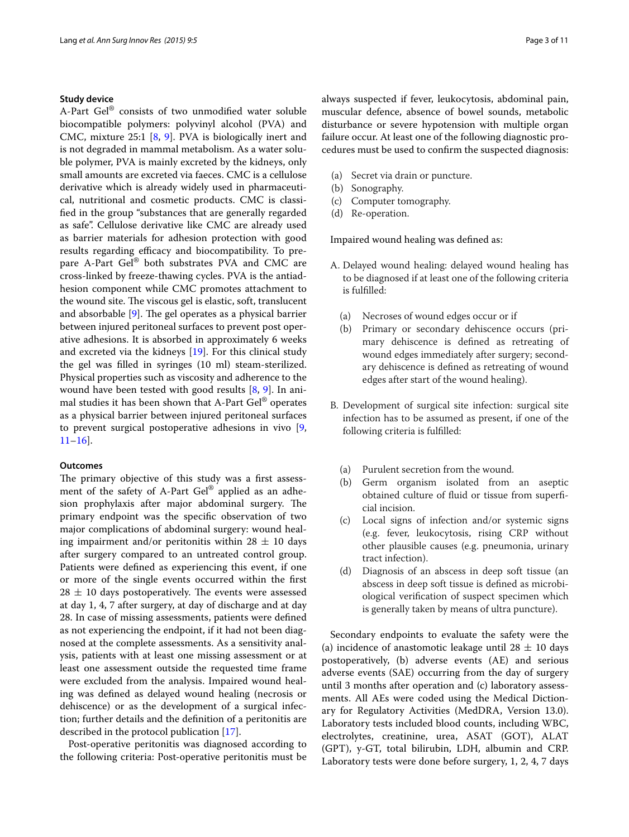## **Study device**

A-Part Gel® consists of two unmodified water soluble biocompatible polymers: polyvinyl alcohol (PVA) and CMC, mixture 25:1 [[8,](#page-9-6) [9\]](#page-9-7). PVA is biologically inert and is not degraded in mammal metabolism. As a water soluble polymer, PVA is mainly excreted by the kidneys, only small amounts are excreted via faeces. CMC is a cellulose derivative which is already widely used in pharmaceutical, nutritional and cosmetic products. CMC is classified in the group "substances that are generally regarded as safe". Cellulose derivative like CMC are already used as barrier materials for adhesion protection with good results regarding efficacy and biocompatibility. To prepare A-Part Gel® both substrates PVA and CMC are cross-linked by freeze-thawing cycles. PVA is the antiadhesion component while CMC promotes attachment to the wound site. The viscous gel is elastic, soft, translucent and absorbable [[9\]](#page-9-7). The gel operates as a physical barrier between injured peritoneal surfaces to prevent post operative adhesions. It is absorbed in approximately 6 weeks and excreted via the kidneys [\[19](#page-10-0)]. For this clinical study the gel was filled in syringes (10 ml) steam-sterilized. Physical properties such as viscosity and adherence to the wound have been tested with good results [[8,](#page-9-6) [9\]](#page-9-7). In animal studies it has been shown that A-Part Gel® operates as a physical barrier between injured peritoneal surfaces to prevent surgical postoperative adhesions in vivo [\[9](#page-9-7),  $11–16$  $11–16$ .

## **Outcomes**

The primary objective of this study was a first assessment of the safety of A-Part Gel® applied as an adhesion prophylaxis after major abdominal surgery. The primary endpoint was the specific observation of two major complications of abdominal surgery: wound healing impairment and/or peritonitis within  $28 \pm 10$  days after surgery compared to an untreated control group. Patients were defined as experiencing this event, if one or more of the single events occurred within the first  $28 \pm 10$  days postoperatively. The events were assessed at day 1, 4, 7 after surgery, at day of discharge and at day 28. In case of missing assessments, patients were defined as not experiencing the endpoint, if it had not been diagnosed at the complete assessments. As a sensitivity analysis, patients with at least one missing assessment or at least one assessment outside the requested time frame were excluded from the analysis. Impaired wound healing was defined as delayed wound healing (necrosis or dehiscence) or as the development of a surgical infection; further details and the definition of a peritonitis are described in the protocol publication [\[17](#page-9-11)].

Post-operative peritonitis was diagnosed according to the following criteria: Post-operative peritonitis must be always suspected if fever, leukocytosis, abdominal pain, muscular defence, absence of bowel sounds, metabolic disturbance or severe hypotension with multiple organ failure occur. At least one of the following diagnostic procedures must be used to confirm the suspected diagnosis:

- (a) Secret via drain or puncture.
- (b) Sonography.
- (c) Computer tomography.
- (d) Re-operation.

Impaired wound healing was defined as:

- A. Delayed wound healing: delayed wound healing has to be diagnosed if at least one of the following criteria is fulfilled:
	- (a) Necroses of wound edges occur or if
	- (b) Primary or secondary dehiscence occurs (primary dehiscence is defined as retreating of wound edges immediately after surgery; secondary dehiscence is defined as retreating of wound edges after start of the wound healing).
- B. Development of surgical site infection: surgical site infection has to be assumed as present, if one of the following criteria is fulfilled:
	- (a) Purulent secretion from the wound.
	- (b) Germ organism isolated from an aseptic obtained culture of fluid or tissue from superficial incision.
	- (c) Local signs of infection and/or systemic signs (e.g. fever, leukocytosis, rising CRP without other plausible causes (e.g. pneumonia, urinary tract infection).
	- (d) Diagnosis of an abscess in deep soft tissue (an abscess in deep soft tissue is defined as microbiological verification of suspect specimen which is generally taken by means of ultra puncture).

Secondary endpoints to evaluate the safety were the (a) incidence of anastomotic leakage until  $28 \pm 10$  days postoperatively, (b) adverse events (AE) and serious adverse events (SAE) occurring from the day of surgery until 3 months after operation and (c) laboratory assessments. All AEs were coded using the Medical Dictionary for Regulatory Activities (MedDRA, Version 13.0). Laboratory tests included blood counts, including WBC, electrolytes, creatinine, urea, ASAT (GOT), ALAT (GPT), y-GT, total bilirubin, LDH, albumin and CRP. Laboratory tests were done before surgery, 1, 2, 4, 7 days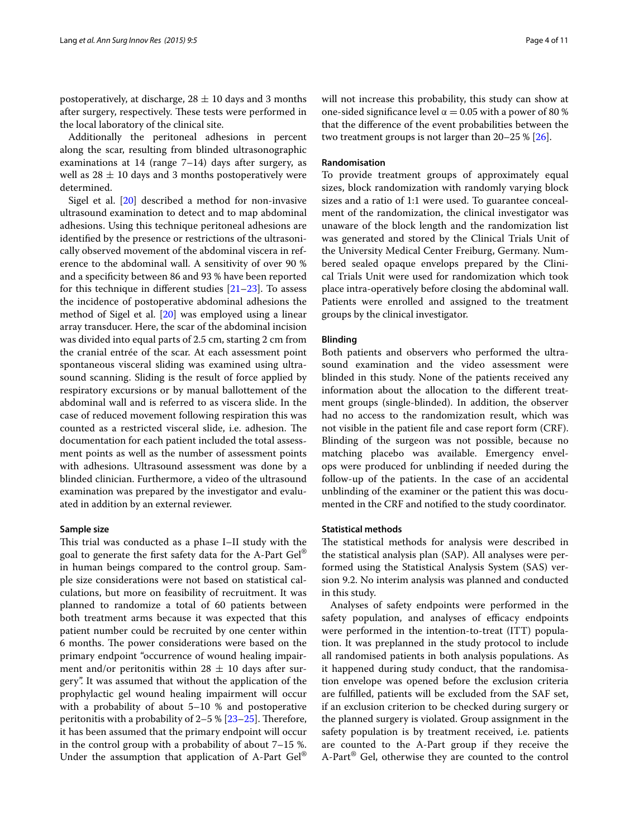postoperatively, at discharge,  $28 \pm 10$  days and 3 months after surgery, respectively. These tests were performed in the local laboratory of the clinical site.

Additionally the peritoneal adhesions in percent along the scar, resulting from blinded ultrasonographic examinations at 14 (range 7–14) days after surgery, as well as  $28 \pm 10$  days and 3 months postoperatively were determined.

Sigel et al. [[20](#page-10-1)] described a method for non-invasive ultrasound examination to detect and to map abdominal adhesions. Using this technique peritoneal adhesions are identified by the presence or restrictions of the ultrasonically observed movement of the abdominal viscera in reference to the abdominal wall. A sensitivity of over 90 % and a specificity between 86 and 93 % have been reported for this technique in different studies  $[21-23]$  $[21-23]$ . To assess the incidence of postoperative abdominal adhesions the method of Sigel et al. [\[20](#page-10-1)] was employed using a linear array transducer. Here, the scar of the abdominal incision was divided into equal parts of 2.5 cm, starting 2 cm from the cranial entrée of the scar. At each assessment point spontaneous visceral sliding was examined using ultrasound scanning. Sliding is the result of force applied by respiratory excursions or by manual ballottement of the abdominal wall and is referred to as viscera slide. In the case of reduced movement following respiration this was counted as a restricted visceral slide, i.e. adhesion. The documentation for each patient included the total assessment points as well as the number of assessment points with adhesions. Ultrasound assessment was done by a blinded clinician. Furthermore, a video of the ultrasound examination was prepared by the investigator and evaluated in addition by an external reviewer.

## **Sample size**

This trial was conducted as a phase I–II study with the goal to generate the first safety data for the A-Part Gel® in human beings compared to the control group. Sample size considerations were not based on statistical calculations, but more on feasibility of recruitment. It was planned to randomize a total of 60 patients between both treatment arms because it was expected that this patient number could be recruited by one center within 6 months. The power considerations were based on the primary endpoint "occurrence of wound healing impairment and/or peritonitis within  $28 \pm 10$  days after surgery". It was assumed that without the application of the prophylactic gel wound healing impairment will occur with a probability of about 5–10 % and postoperative peritonitis with a probability of 2–5 % [\[23](#page-10-3)[–25](#page-10-4)]. Therefore, it has been assumed that the primary endpoint will occur in the control group with a probability of about 7–15 %. Under the assumption that application of A-Part  $\text{Ge}^{(8)}$  will not increase this probability, this study can show at one-sided significance level  $\alpha = 0.05$  with a power of 80 % that the difference of the event probabilities between the two treatment groups is not larger than 20–25 % [\[26](#page-10-5)].

## **Randomisation**

To provide treatment groups of approximately equal sizes, block randomization with randomly varying block sizes and a ratio of 1:1 were used. To guarantee concealment of the randomization, the clinical investigator was unaware of the block length and the randomization list was generated and stored by the Clinical Trials Unit of the University Medical Center Freiburg, Germany. Numbered sealed opaque envelops prepared by the Clinical Trials Unit were used for randomization which took place intra-operatively before closing the abdominal wall. Patients were enrolled and assigned to the treatment groups by the clinical investigator.

## **Blinding**

Both patients and observers who performed the ultrasound examination and the video assessment were blinded in this study. None of the patients received any information about the allocation to the different treatment groups (single-blinded). In addition, the observer had no access to the randomization result, which was not visible in the patient file and case report form (CRF). Blinding of the surgeon was not possible, because no matching placebo was available. Emergency envelops were produced for unblinding if needed during the follow-up of the patients. In the case of an accidental unblinding of the examiner or the patient this was documented in the CRF and notified to the study coordinator.

## **Statistical methods**

The statistical methods for analysis were described in the statistical analysis plan (SAP). All analyses were performed using the Statistical Analysis System (SAS) version 9.2. No interim analysis was planned and conducted in this study.

Analyses of safety endpoints were performed in the safety population, and analyses of efficacy endpoints were performed in the intention-to-treat (ITT) population. It was preplanned in the study protocol to include all randomised patients in both analysis populations. As it happened during study conduct, that the randomisation envelope was opened before the exclusion criteria are fulfilled, patients will be excluded from the SAF set, if an exclusion criterion to be checked during surgery or the planned surgery is violated. Group assignment in the safety population is by treatment received, i.e. patients are counted to the A-Part group if they receive the A-Part<sup>®</sup> Gel, otherwise they are counted to the control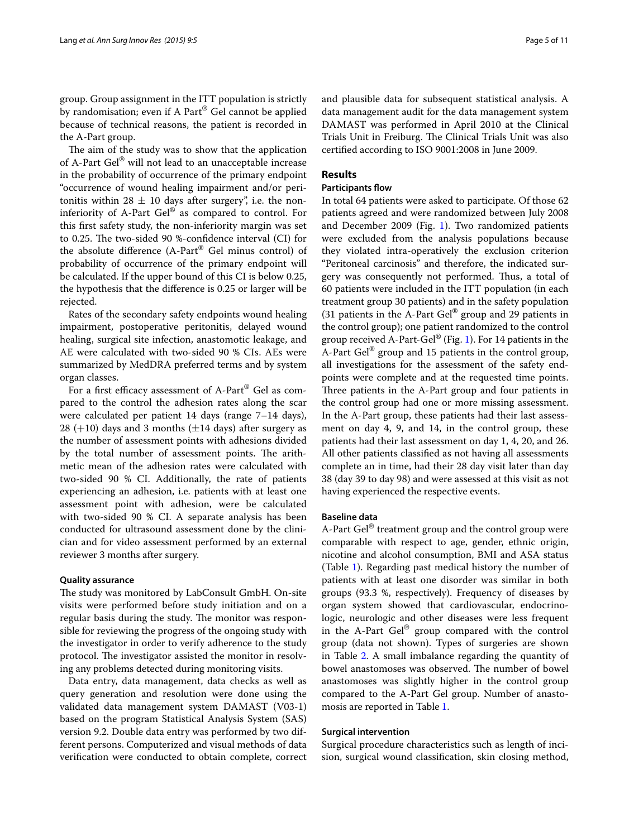group. Group assignment in the ITT population is strictly by randomisation; even if A Part® Gel cannot be applied because of technical reasons, the patient is recorded in the A-Part group.

The aim of the study was to show that the application of A-Part Gel® will not lead to an unacceptable increase in the probability of occurrence of the primary endpoint "occurrence of wound healing impairment and/or peritonitis within 28  $\pm$  10 days after surgery", i.e. the noninferiority of A-Part Gel® as compared to control. For this first safety study, the non-inferiority margin was set to 0.25. The two-sided 90 %-confidence interval (CI) for the absolute difference (A-Part® Gel minus control) of probability of occurrence of the primary endpoint will be calculated. If the upper bound of this CI is below 0.25, the hypothesis that the difference is 0.25 or larger will be rejected.

Rates of the secondary safety endpoints wound healing impairment, postoperative peritonitis, delayed wound healing, surgical site infection, anastomotic leakage, and AE were calculated with two-sided 90 % CIs. AEs were summarized by MedDRA preferred terms and by system organ classes.

For a first efficacy assessment of A-Part® Gel as compared to the control the adhesion rates along the scar were calculated per patient 14 days (range 7–14 days), 28 (+10) days and 3 months ( $\pm$ 14 days) after surgery as the number of assessment points with adhesions divided by the total number of assessment points. The arithmetic mean of the adhesion rates were calculated with two-sided 90 % CI. Additionally, the rate of patients experiencing an adhesion, i.e. patients with at least one assessment point with adhesion, were be calculated with two-sided 90 % CI. A separate analysis has been conducted for ultrasound assessment done by the clinician and for video assessment performed by an external reviewer 3 months after surgery.

## **Quality assurance**

The study was monitored by LabConsult GmbH. On-site visits were performed before study initiation and on a regular basis during the study. The monitor was responsible for reviewing the progress of the ongoing study with the investigator in order to verify adherence to the study protocol. The investigator assisted the monitor in resolving any problems detected during monitoring visits.

Data entry, data management, data checks as well as query generation and resolution were done using the validated data management system DAMAST (V03-1) based on the program Statistical Analysis System (SAS) version 9.2. Double data entry was performed by two different persons. Computerized and visual methods of data verification were conducted to obtain complete, correct

and plausible data for subsequent statistical analysis. A data management audit for the data management system DAMAST was performed in April 2010 at the Clinical Trials Unit in Freiburg. The Clinical Trials Unit was also certified according to ISO 9001:2008 in June 2009.

# **Results**

# **Participants flow**

In total 64 patients were asked to participate. Of those 62 patients agreed and were randomized between July 2008 and December 2009 (Fig. [1](#page-5-0)). Two randomized patients were excluded from the analysis populations because they violated intra-operatively the exclusion criterion "Peritoneal carcinosis" and therefore, the indicated surgery was consequently not performed. Thus, a total of 60 patients were included in the ITT population (in each treatment group 30 patients) and in the safety population (31 patients in the A-Part Gel® group and 29 patients in the control group); one patient randomized to the control group received A-Part-Gel<sup>®</sup> (Fig. [1](#page-5-0)). For 14 patients in the A-Part Gel<sup>®</sup> group and 15 patients in the control group, all investigations for the assessment of the safety endpoints were complete and at the requested time points. Three patients in the A-Part group and four patients in the control group had one or more missing assessment. In the A-Part group, these patients had their last assessment on day 4, 9, and 14, in the control group, these patients had their last assessment on day 1, 4, 20, and 26. All other patients classified as not having all assessments complete an in time, had their 28 day visit later than day 38 (day 39 to day 98) and were assessed at this visit as not having experienced the respective events.

## **Baseline data**

A-Part Gel<sup>®</sup> treatment group and the control group were comparable with respect to age, gender, ethnic origin, nicotine and alcohol consumption, BMI and ASA status (Table [1](#page-5-1)). Regarding past medical history the number of patients with at least one disorder was similar in both groups (93.3 %, respectively). Frequency of diseases by organ system showed that cardiovascular, endocrinologic, neurologic and other diseases were less frequent in the A-Part Gel® group compared with the control group (data not shown). Types of surgeries are shown in Table [2.](#page-6-0) A small imbalance regarding the quantity of bowel anastomoses was observed. The number of bowel anastomoses was slightly higher in the control group compared to the A-Part Gel group. Number of anastomosis are reported in Table [1](#page-5-1).

## **Surgical intervention**

Surgical procedure characteristics such as length of incision, surgical wound classification, skin closing method,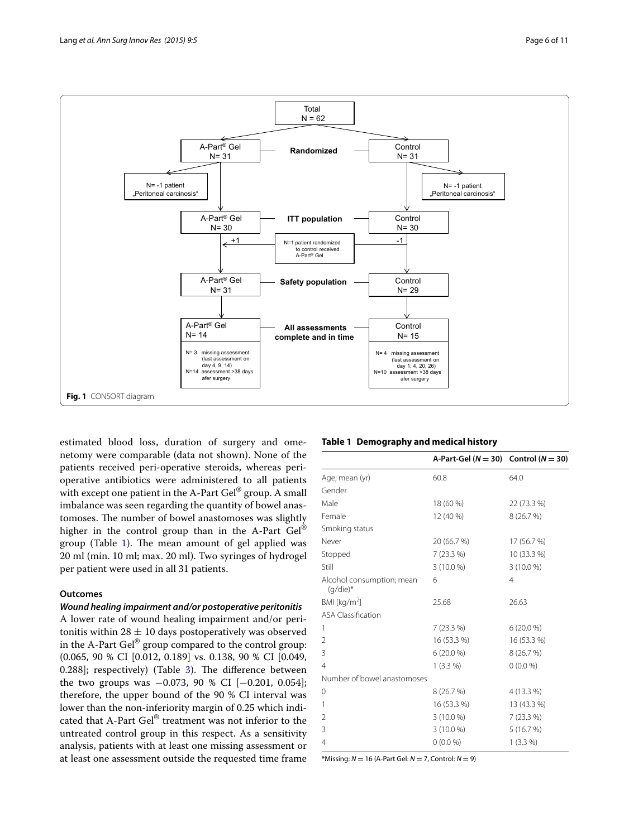

<span id="page-5-0"></span>estimated blood loss, duration of surgery and omenetomy were comparable (data not shown). None of the patients received peri-operative steroids, whereas perioperative antibiotics were administered to all patients with except one patient in the A-Part Gel® group. A small imbalance was seen regarding the quantity of bowel anastomoses. The number of bowel anastomoses was slightly higher in the control group than in the A-Part Gel<sup>®</sup> group (Table [1](#page-5-1)). The mean amount of gel applied was 20 ml (min. 10 ml; max. 20 ml). Two syringes of hydrogel per patient were used in all 31 patients.

# **Outcomes**

## *Wound healing impairment and/or postoperative peritonitis*

A lower rate of wound healing impairment and/or peritonitis within  $28 \pm 10$  days postoperatively was observed in the A-Part  $\text{Ge}^{\otimes}$  group compared to the control group: (0.065, 90 % CI [0.012, 0.189] vs. 0.138, 90 % CI [0.049, 0.288]; respectively) (Table [3](#page-6-1)). The difference between the two groups was  $-0.073$ , 90 % CI [ $-0.201$ , 0.054]; therefore, the upper bound of the 90 % CI interval was lower than the non-inferiority margin of 0.25 which indicated that A-Part Gel® treatment was not inferior to the untreated control group in this respect. As a sensitivity analysis, patients with at least one missing assessment or at least one assessment outside the requested time frame

## <span id="page-5-1"></span>**Table 1 Demography and medical history**

|                                          | A-Part-Gel ( $N = 30$ ) Control ( $N = 30$ ) |                |
|------------------------------------------|----------------------------------------------|----------------|
| Age; mean (yr)                           | 60.8                                         | 64.0           |
| Gender                                   |                                              |                |
| Male                                     | 18 (60 %)                                    | 22 (73.3 %)    |
| Female                                   | 12 (40 %)                                    | 8(26.7%)       |
| Smoking status                           |                                              |                |
| Never                                    | 20 (66.7 %)                                  | 17 (56.7 %)    |
| Stopped                                  | $7(23.3\%)$                                  | 10 (33.3 %)    |
| Still                                    | $3(10.0\%)$                                  | $3(10.0\%)$    |
| Alcohol consumption; mean<br>$(q/die)^*$ | 6                                            | $\overline{4}$ |
| BMI [kg/m <sup>2</sup> ]                 | 25.68                                        | 26.63          |
| <b>ASA Classification</b>                |                                              |                |
| 1                                        | $7(23.3\%)$                                  | $6(20.0\%)$    |
| 2                                        | 16 (53.3 %)                                  | 16 (53.3 %)    |
| 3                                        | $6(20.0\%)$                                  | 8(26.7%)       |
| 4                                        | $1(3.3\%)$                                   | $0(0.0\%)$     |
| Number of bowel anastomoses              |                                              |                |
| 0                                        | 8(26.7%)                                     | 4 (13.3 %)     |
| 1                                        | 16 (53.3 %)                                  | 13 (43.3 %)    |
| 2                                        | $3(10.0\%)$                                  | $7(23.3\%)$    |
| 3                                        | $3(10.0\%)$                                  | 5(16.7%)       |
| 4                                        | $0(0.0\%)$                                   | $1(3.3\%)$     |

\*Missing: *N* = 16 (A-Part Gel: *N* = 7, Control: *N* = 9)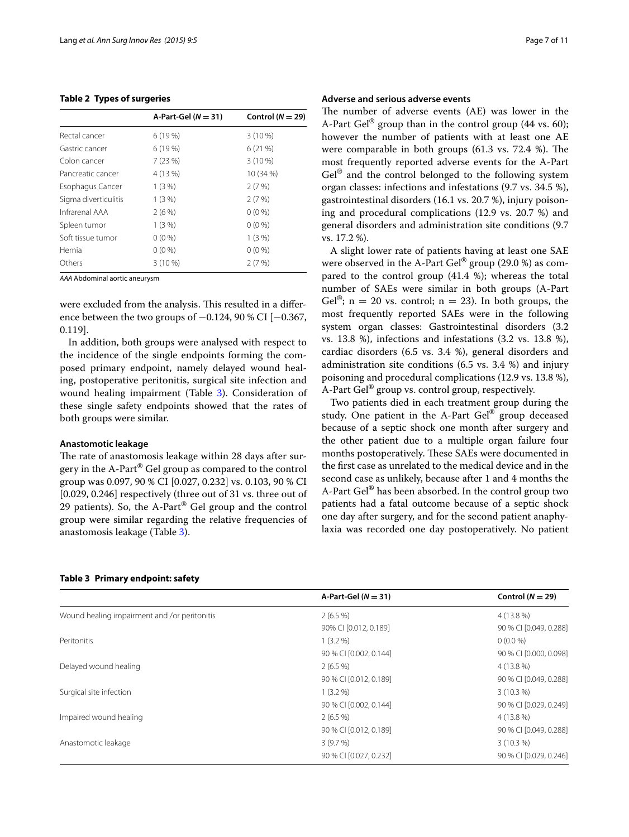## <span id="page-6-0"></span>**Table 2 Types of surgeries**

|                      | A-Part-Gel $(N = 31)$ | Control ( $N = 29$ ) |
|----------------------|-----------------------|----------------------|
| Rectal cancer        | 6(19%)                | $3(10\%)$            |
| Gastric cancer       | 6(19%)                | 6(21%)               |
| Colon cancer         | 7(23%)                | $3(10\%)$            |
| Pancreatic cancer    | 4 (13 %)              | 10 (34 %)            |
| Esophagus Cancer     | $1(3\%)$              | 2(7%)                |
| Sigma diverticulitis | $1(3\%)$              | 2(7%)                |
| Infrarenal AAA       | 2(6%)                 | $0(0\%)$             |
| Spleen tumor         | 1(3%)                 | $0(0\%)$             |
| Soft tissue tumor    | $0(0\%)$              | 1(3%)                |
| Hernia               | $0(0\%)$              | $0(0\%)$             |
| Others               | $3(10\%)$             | 2(7%)                |
|                      |                       |                      |

*AAA* Abdominal aortic aneurysm

were excluded from the analysis. This resulted in a difference between the two groups of  $-0.124$ , 90 % CI [ $-0.367$ , 0.119].

In addition, both groups were analysed with respect to the incidence of the single endpoints forming the composed primary endpoint, namely delayed wound healing, postoperative peritonitis, surgical site infection and wound healing impairment (Table [3](#page-6-1)). Consideration of these single safety endpoints showed that the rates of both groups were similar.

## **Anastomotic leakage**

The rate of anastomosis leakage within 28 days after surgery in the A-Part® Gel group as compared to the control group was 0.097, 90 % CI [0.027, 0.232] vs. 0.103, 90 % CI [0.029, 0.246] respectively (three out of 31 vs. three out of 29 patients). So, the A-Part® Gel group and the control group were similar regarding the relative frequencies of anastomosis leakage (Table [3\)](#page-6-1).

## **Adverse and serious adverse events**

The number of adverse events (AE) was lower in the A-Part Gel<sup>®</sup> group than in the control group (44 vs. 60); however the number of patients with at least one AE were comparable in both groups (61.3 vs. 72.4 %). The most frequently reported adverse events for the A-Part  $Ge^{\otimes}$  and the control belonged to the following system organ classes: infections and infestations (9.7 vs. 34.5 %), gastrointestinal disorders (16.1 vs. 20.7 %), injury poisoning and procedural complications (12.9 vs. 20.7 %) and general disorders and administration site conditions (9.7 vs. 17.2 %).

A slight lower rate of patients having at least one SAE were observed in the A-Part  $\text{Ge}^{\otimes}$  group (29.0 %) as compared to the control group (41.4 %); whereas the total number of SAEs were similar in both groups (A-Part Gel<sup>®</sup>; n = 20 vs. control; n = 23). In both groups, the most frequently reported SAEs were in the following system organ classes: Gastrointestinal disorders (3.2 vs. 13.8 %), infections and infestations (3.2 vs. 13.8 %), cardiac disorders (6.5 vs. 3.4 %), general disorders and administration site conditions (6.5 vs. 3.4 %) and injury poisoning and procedural complications (12.9 vs. 13.8 %), A-Part Gel® group vs. control group, respectively.

Two patients died in each treatment group during the study. One patient in the A-Part Gel® group deceased because of a septic shock one month after surgery and the other patient due to a multiple organ failure four months postoperatively. These SAEs were documented in the first case as unrelated to the medical device and in the second case as unlikely, because after 1 and 4 months the A-Part Gel® has been absorbed. In the control group two patients had a fatal outcome because of a septic shock one day after surgery, and for the second patient anaphylaxia was recorded one day postoperatively. No patient

## <span id="page-6-1"></span>**Table 3 Primary endpoint: safety**

|                                              | A-Part-Gel $(N = 31)$  | Control ( $N = 29$ )   |
|----------------------------------------------|------------------------|------------------------|
| Wound healing impairment and /or peritonitis | $2(6.5\%)$             | 4 (13.8 %)             |
|                                              | 90% CI [0.012, 0.189]  | 90 % CI [0.049, 0.288] |
| Peritonitis                                  | $1(3.2\%)$             | $0(0.0\%)$             |
|                                              | 90 % CI [0.002, 0.144] | 90 % CI [0.000, 0.098] |
| Delayed wound healing                        | $2(6.5\%)$             | 4 (13.8 %)             |
|                                              | 90 % CI [0.012, 0.189] | 90 % CI [0.049, 0.288] |
| Surgical site infection                      | $1(3.2\%)$             | $3(10.3\%)$            |
|                                              | 90 % CI [0.002, 0.144] | 90 % CI [0.029, 0.249] |
| Impaired wound healing                       | $2(6.5\%)$             | 4 (13.8 %)             |
|                                              | 90 % CI [0.012, 0.189] | 90 % CI [0.049, 0.288] |
| Anastomotic leakage                          | 3(9.7%)                | $3(10.3\%)$            |
|                                              | 90 % CI [0.027, 0.232] | 90 % CI [0.029, 0.246] |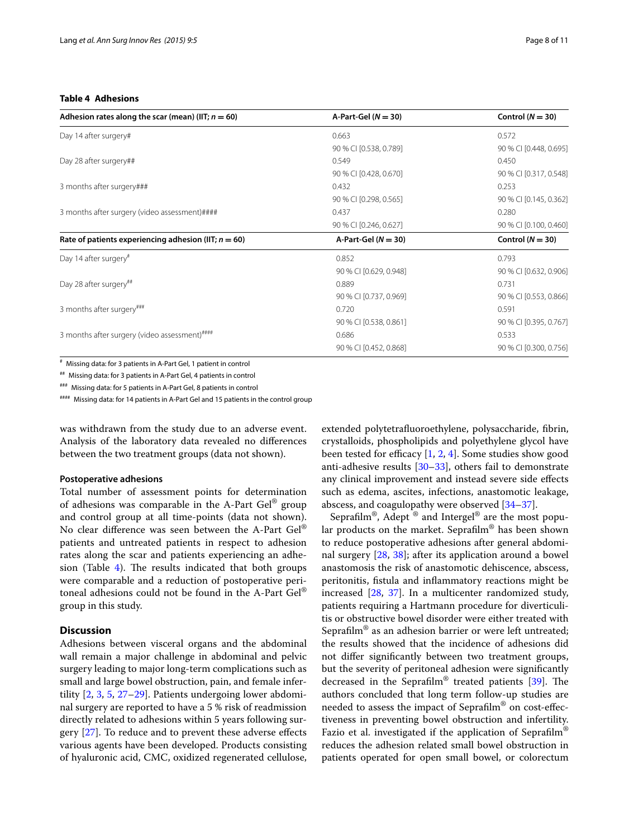## <span id="page-7-0"></span>**Table 4 Adhesions**

| Adhesion rates along the scar (mean) (IIT; $n = 60$ )     | A-Part-Gel $(N = 30)$  | Control $(N = 30)$     |
|-----------------------------------------------------------|------------------------|------------------------|
| Day 14 after surgery#                                     | 0.663                  | 0.572                  |
|                                                           | 90 % CI [0.538, 0.789] | 90 % CI [0.448, 0.695] |
| Day 28 after surgery##                                    | 0.549                  | 0.450                  |
|                                                           | 90 % CI [0.428, 0.670] | 90 % CI [0.317, 0.548] |
| 3 months after surgery###                                 | 0.432                  | 0.253                  |
|                                                           | 90 % CI [0.298, 0.565] | 90 % CI [0.145, 0.362] |
| 3 months after surgery (video assessment)####             | 0.437                  | 0.280                  |
|                                                           | 90 % CI [0.246, 0.627] | 90 % CI [0.100, 0.460] |
| Rate of patients experiencing adhesion (IIT; $n = 60$ )   | A-Part-Gel $(N = 30)$  | Control $(N = 30)$     |
| Day 14 after surgery <sup>#</sup>                         | 0.852                  | 0.793                  |
|                                                           | 90 % CI [0.629, 0.948] | 90 % CI [0.632, 0.906] |
| Day 28 after surgery <sup>##</sup>                        | 0.889                  | 0.731                  |
|                                                           | 90 % CI [0.737, 0.969] | 90 % CI [0.553, 0.866] |
| 3 months after surgery###                                 | 0.720                  | 0.591                  |
|                                                           | 90 % CI [0.538, 0.861] | 90 % CI [0.395, 0.767] |
| 3 months after surgery (video assessment) <sup>####</sup> | 0.686                  | 0.533                  |
|                                                           | 90 % CI [0.452, 0.868] | 90 % CI [0.300, 0.756] |

# Missing data: for 3 patients in A-Part Gel, 1 patient in control

## Missing data: for 3 patients in A-Part Gel, 4 patients in control

### Missing data: for 5 patients in A-Part Gel, 8 patients in control

#### Missing data: for 14 patients in A-Part Gel and 15 patients in the control group

was withdrawn from the study due to an adverse event. Analysis of the laboratory data revealed no differences between the two treatment groups (data not shown).

## **Postoperative adhesions**

Total number of assessment points for determination of adhesions was comparable in the A-Part  $Ge^{\otimes}$  group and control group at all time-points (data not shown). No clear difference was seen between the A-Part Gel® patients and untreated patients in respect to adhesion rates along the scar and patients experiencing an adhesion (Table  $4$ ). The results indicated that both groups were comparable and a reduction of postoperative peritoneal adhesions could not be found in the A-Part Gel® group in this study.

## **Discussion**

Adhesions between visceral organs and the abdominal wall remain a major challenge in abdominal and pelvic surgery leading to major long-term complications such as small and large bowel obstruction, pain, and female infertility [\[2](#page-9-13), [3](#page-9-1), [5](#page-9-3), [27](#page-10-6)[–29\]](#page-10-7). Patients undergoing lower abdominal surgery are reported to have a 5 % risk of readmission directly related to adhesions within 5 years following surgery [\[27](#page-10-6)]. To reduce and to prevent these adverse effects various agents have been developed. Products consisting of hyaluronic acid, CMC, oxidized regenerated cellulose, extended polytetrafluoroethylene, polysaccharide, fibrin, crystalloids, phospholipids and polyethylene glycol have been tested for efficacy [\[1](#page-9-0), [2,](#page-9-13) [4\]](#page-9-2). Some studies show good anti-adhesive results [\[30–](#page-10-8)[33\]](#page-10-9), others fail to demonstrate any clinical improvement and instead severe side effects such as edema, ascites, infections, anastomotic leakage, abscess, and coagulopathy were observed [\[34](#page-10-10)[–37\]](#page-10-11).

Seprafilm®, Adept ® and Intergel® are the most popular products on the market. Seprafilm® has been shown to reduce postoperative adhesions after general abdominal surgery [\[28,](#page-10-12) [38](#page-10-13)]; after its application around a bowel anastomosis the risk of anastomotic dehiscence, abscess, peritonitis, fistula and inflammatory reactions might be increased [\[28](#page-10-12), [37\]](#page-10-11). In a multicenter randomized study, patients requiring a Hartmann procedure for diverticulitis or obstructive bowel disorder were either treated with Seprafilm® as an adhesion barrier or were left untreated; the results showed that the incidence of adhesions did not differ significantly between two treatment groups, but the severity of peritoneal adhesion were significantly decreased in the Seprafilm® treated patients [\[39](#page-10-14)]. The authors concluded that long term follow-up studies are needed to assess the impact of Seprafilm® on cost-effectiveness in preventing bowel obstruction and infertility. Fazio et al. investigated if the application of Seprafilm<sup>®</sup> reduces the adhesion related small bowel obstruction in patients operated for open small bowel, or colorectum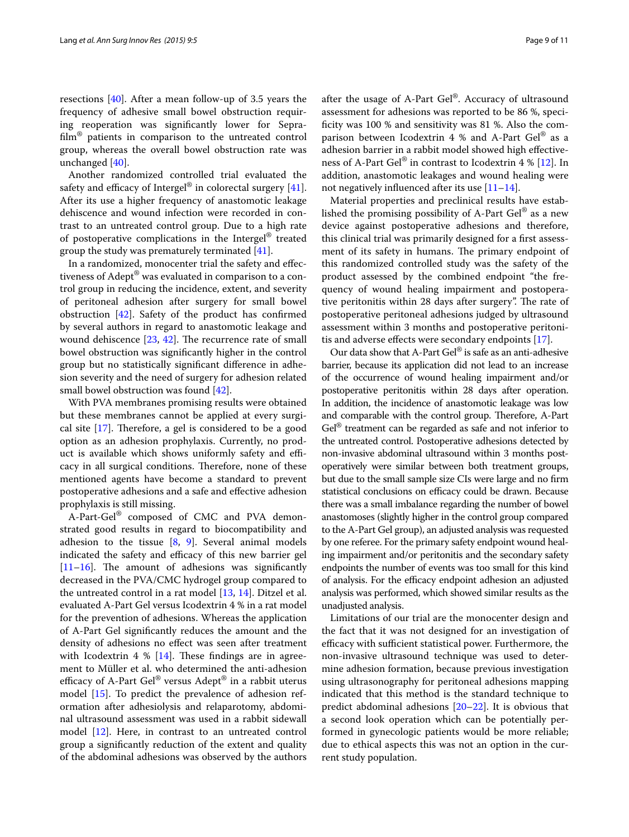resections [[40\]](#page-10-15). After a mean follow-up of 3.5 years the frequency of adhesive small bowel obstruction requiring reoperation was significantly lower for Seprafilm® patients in comparison to the untreated control group, whereas the overall bowel obstruction rate was unchanged [\[40](#page-10-15)].

Another randomized controlled trial evaluated the safety and efficacy of Intergel<sup>®</sup> in colorectal surgery  $[41]$  $[41]$ . After its use a higher frequency of anastomotic leakage dehiscence and wound infection were recorded in contrast to an untreated control group. Due to a high rate of postoperative complications in the Intergel® treated group the study was prematurely terminated [\[41](#page-10-16)].

In a randomized, monocenter trial the safety and effectiveness of Adept® was evaluated in comparison to a control group in reducing the incidence, extent, and severity of peritoneal adhesion after surgery for small bowel obstruction  $[42]$  $[42]$ . Safety of the product has confirmed by several authors in regard to anastomotic leakage and wound dehiscence [\[23,](#page-10-3) [42](#page-10-17)]. The recurrence rate of small bowel obstruction was significantly higher in the control group but no statistically significant difference in adhesion severity and the need of surgery for adhesion related small bowel obstruction was found [\[42](#page-10-17)].

With PVA membranes promising results were obtained but these membranes cannot be applied at every surgical site [\[17](#page-9-11)]. Therefore, a gel is considered to be a good option as an adhesion prophylaxis. Currently, no product is available which shows uniformly safety and efficacy in all surgical conditions. Therefore, none of these mentioned agents have become a standard to prevent postoperative adhesions and a safe and effective adhesion prophylaxis is still missing.

A-Part-Gel® composed of CMC and PVA demonstrated good results in regard to biocompatibility and adhesion to the tissue  $[8, 9]$  $[8, 9]$  $[8, 9]$  $[8, 9]$  $[8, 9]$ . Several animal models indicated the safety and efficacy of this new barrier gel  $[11–16]$  $[11–16]$  $[11–16]$  $[11–16]$ . The amount of adhesions was significantly decreased in the PVA/CMC hydrogel group compared to the untreated control in a rat model [[13,](#page-9-14) [14\]](#page-9-15). Ditzel et al. evaluated A-Part Gel versus Icodextrin 4 % in a rat model for the prevention of adhesions. Whereas the application of A-Part Gel significantly reduces the amount and the density of adhesions no effect was seen after treatment with Icodextrin 4 %  $[14]$ . These findings are in agreement to Müller et al. who determined the anti-adhesion efficacy of A-Part Gel® versus Adept® in a rabbit uterus model [[15\]](#page-9-16). To predict the prevalence of adhesion reformation after adhesiolysis and relaparotomy, abdominal ultrasound assessment was used in a rabbit sidewall model [\[12](#page-9-17)]. Here, in contrast to an untreated control group a significantly reduction of the extent and quality of the abdominal adhesions was observed by the authors

after the usage of A-Part Gel®. Accuracy of ultrasound assessment for adhesions was reported to be 86 %, specificity was 100 % and sensitivity was 81 %. Also the comparison between Icodextrin 4 % and A-Part  $\text{Ge}^{\otimes}$  as a adhesion barrier in a rabbit model showed high effectiveness of A-Part Gel® in contrast to Icodextrin 4 % [[12\]](#page-9-17). In addition, anastomotic leakages and wound healing were not negatively influenced after its use  $[11-14]$  $[11-14]$ .

Material properties and preclinical results have established the promising possibility of A-Part Gel® as a new device against postoperative adhesions and therefore, this clinical trial was primarily designed for a first assessment of its safety in humans. The primary endpoint of this randomized controlled study was the safety of the product assessed by the combined endpoint "the frequency of wound healing impairment and postoperative peritonitis within 28 days after surgery". The rate of postoperative peritoneal adhesions judged by ultrasound assessment within 3 months and postoperative peritonitis and adverse effects were secondary endpoints [\[17](#page-9-11)].

Our data show that A-Part Gel® is safe as an anti-adhesive barrier, because its application did not lead to an increase of the occurrence of wound healing impairment and/or postoperative peritonitis within 28 days after operation. In addition, the incidence of anastomotic leakage was low and comparable with the control group. Therefore, A-Part Gel<sup>®</sup> treatment can be regarded as safe and not inferior to the untreated control. Postoperative adhesions detected by non-invasive abdominal ultrasound within 3 months postoperatively were similar between both treatment groups, but due to the small sample size CIs were large and no firm statistical conclusions on efficacy could be drawn. Because there was a small imbalance regarding the number of bowel anastomoses (slightly higher in the control group compared to the A-Part Gel group), an adjusted analysis was requested by one referee. For the primary safety endpoint wound healing impairment and/or peritonitis and the secondary safety endpoints the number of events was too small for this kind of analysis. For the efficacy endpoint adhesion an adjusted analysis was performed, which showed similar results as the unadjusted analysis.

Limitations of our trial are the monocenter design and the fact that it was not designed for an investigation of efficacy with sufficient statistical power. Furthermore, the non-invasive ultrasound technique was used to determine adhesion formation, because previous investigation using ultrasonography for peritoneal adhesions mapping indicated that this method is the standard technique to predict abdominal adhesions [\[20–](#page-10-1)[22\]](#page-10-18). It is obvious that a second look operation which can be potentially performed in gynecologic patients would be more reliable; due to ethical aspects this was not an option in the current study population.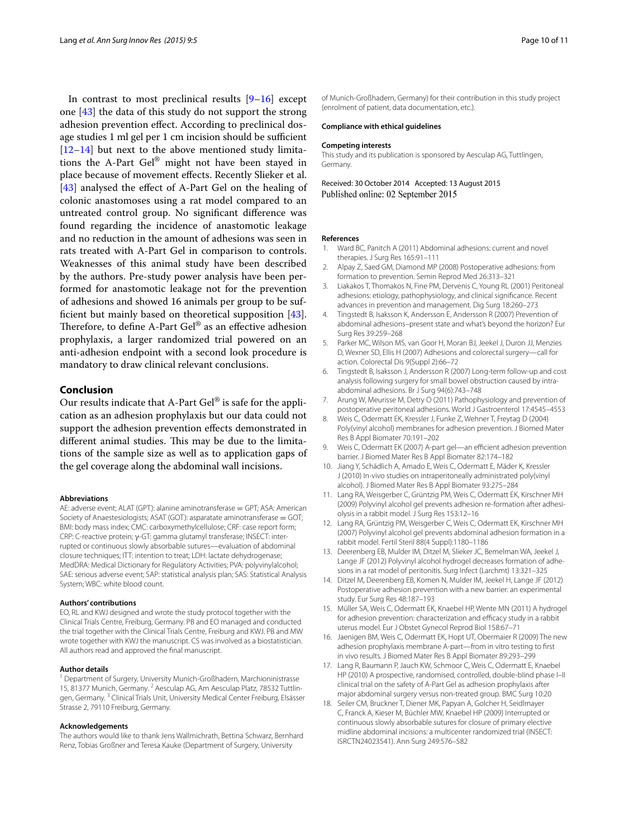In contrast to most preclinical results  $[9-16]$  $[9-16]$  $[9-16]$  except one [[43\]](#page-10-19) the data of this study do not support the strong adhesion prevention effect. According to preclinical dosage studies 1 ml gel per 1 cm incision should be sufficient [[12–](#page-9-17)[14](#page-9-15)] but next to the above mentioned study limitations the A-Part Gel® might not have been stayed in place because of movement effects. Recently Slieker et al. [[43\]](#page-10-19) analysed the effect of A-Part Gel on the healing of colonic anastomoses using a rat model compared to an untreated control group. No significant difference was found regarding the incidence of anastomotic leakage and no reduction in the amount of adhesions was seen in rats treated with A-Part Gel in comparison to controls. Weaknesses of this animal study have been described by the authors. Pre-study power analysis have been performed for anastomotic leakage not for the prevention of adhesions and showed 16 animals per group to be sufficient but mainly based on theoretical supposition [\[43](#page-10-19)]. Therefore, to define A-Part Gel® as an effective adhesion prophylaxis, a larger randomized trial powered on an anti-adhesion endpoint with a second look procedure is mandatory to draw clinical relevant conclusions.

## **Conclusion**

Our results indicate that A-Part Gel® is safe for the application as an adhesion prophylaxis but our data could not support the adhesion prevention effects demonstrated in different animal studies. This may be due to the limitations of the sample size as well as to application gaps of the gel coverage along the abdominal wall incisions.

## **Abbreviations**

AE: adverse event; ALAT (GPT): alanine aminotransferase = GPT; ASA: American Society of Anaestesiologists; ASAT (GOT): asparatate aminotransferase = GOT; BMI: body mass index; CMC: carboxymethylcellulose; CRF: case report form; CRP: C-reactive protein; γ-GT: gamma glutamyl transferase; INSECT: interrupted or continuous slowly absorbable sutures—evaluation of abdominal closure techniques; ITT: intention to treat; LDH: lactate dehydrogenase; MedDRA: Medical Dictionary for Regulatory Activities; PVA: polyvinylalcohol; SAE: serious adverse event; SAP: statistical analysis plan; SAS: Statistical Analysis System; WBC: white blood count.

### **Authors' contributions**

EO, RL and KWJ designed and wrote the study protocol together with the Clinical Trials Centre, Freiburg, Germany. PB and EO managed and conducted the trial together with the Clinical Trials Centre, Freiburg and KWJ. PB and MW wrote together with KWJ the manuscript. CS was involved as a biostatistician. All authors read and approved the final manuscript.

## **Author details**

<sup>1</sup> Department of Surgery, University Munich-Großhadern, Marchioninistrasse 15, 81377 Munich, Germany. <sup>2</sup> Aesculap AG, Am Aesculap Platz, 78532 Tuttlingen, Germany. 3 Clinical Trials Unit, University Medical Center Freiburg, Elsässer Strasse 2, 79110 Freiburg, Germany.

#### **Acknowledgements**

The authors would like to thank Jens Wallmichrath, Bettina Schwarz, Bernhard Renz, Tobias Großner and Teresa Kauke (Department of Surgery, University

of Munich-Großhadern, Germany) for their contribution in this study project (enrolment of patient, data documentation, etc.).

#### **Compliance with ethical guidelines**

#### **Competing interests**

This study and its publication is sponsored by Aesculap AG, Tuttlingen, Germany.

Received: 30 October 2014 Accepted: 13 August 2015 Published online: 02 September 2015

#### **References**

- <span id="page-9-0"></span>1. Ward BC, Panitch A (2011) Abdominal adhesions: current and novel therapies. J Surg Res 165:91–111
- <span id="page-9-13"></span>2. Alpay Z, Saed GM, Diamond MP (2008) Postoperative adhesions: from formation to prevention. Semin Reprod Med 26:313–321
- <span id="page-9-1"></span>3. Liakakos T, Thomakos N, Fine PM, Dervenis C, Young RL (2001) Peritoneal adhesions: etiology, pathophysiology, and clinical significance. Recent advances in prevention and management. Dig Surg 18:260–273
- <span id="page-9-2"></span>4. Tingstedt B, Isaksson K, Andersson E, Andersson R (2007) Prevention of abdominal adhesions–present state and what's beyond the horizon? Eur Surg Res 39:259–268
- <span id="page-9-3"></span>5. Parker MC, Wilson MS, van Goor H, Moran BJ, Jeekel J, Duron JJ, Menzies D, Wexner SD, Ellis H (2007) Adhesions and colorectal surgery—call for action. Colorectal Dis 9(Suppl 2):66–72
- <span id="page-9-4"></span>6. Tingstedt B, Isaksson J, Andersson R (2007) Long-term follow-up and cost analysis following surgery for small bowel obstruction caused by intraabdominal adhesions. Br J Surg 94(6):743–748
- <span id="page-9-5"></span>7. Arung W, Meurisse M, Detry O (2011) Pathophysiology and prevention of postoperative peritoneal adhesions. World J Gastroenterol 17:4545–4553
- <span id="page-9-6"></span>8. Weis C, Odermatt EK, Kressler J, Funke Z, Wehner T, Freytag D (2004) Poly(vinyl alcohol) membranes for adhesion prevention. J Biomed Mater Res B Appl Biomater 70:191–202
- <span id="page-9-7"></span>9. Weis C, Odermatt EK (2007) A-part gel—an efficient adhesion prevention barrier. J Biomed Mater Res B Appl Biomater 82:174–182
- <span id="page-9-8"></span>10. Jiang Y, Schädlich A, Amado E, Weis C, Odermatt E, Mäder K, Kressler J (2010) In-vivo studies on intraperitoneally administrated poly(vinyl alcohol). J Biomed Mater Res B Appl Biomater 93:275–284
- <span id="page-9-9"></span>11. Lang RA, Weisgerber C, Grüntzig PM, Weis C, Odermatt EK, Kirschner MH (2009) Polyvinyl alcohol gel prevents adhesion re-formation after adhesiolysis in a rabbit model. J Surg Res 153:12–16
- <span id="page-9-17"></span>12. Lang RA, Grüntzig PM, Weisgerber C, Weis C, Odermatt EK, Kirschner MH (2007) Polyvinyl alcohol gel prevents abdominal adhesion formation in a rabbit model. Fertil Steril 88(4 Suppl):1180–1186
- <span id="page-9-14"></span>13. Deerenberg EB, Mulder IM, Ditzel M, Slieker JC, Bemelman WA, Jeekel J, Lange JF (2012) Polyvinyl alcohol hydrogel decreases formation of adhesions in a rat model of peritonitis. Surg Infect (Larchmt) 13:321–325
- <span id="page-9-15"></span>14. Ditzel M, Deerenberg EB, Komen N, Mulder IM, Jeekel H, Lange JF (2012) Postoperative adhesion prevention with a new barrier: an experimental study. Eur Surg Res 48:187–193
- <span id="page-9-16"></span>15. Müller SA, Weis C, Odermatt EK, Knaebel HP, Wente MN (2011) A hydrogel for adhesion prevention: characterization and efficacy study in a rabbit uterus model. Eur J Obstet Gynecol Reprod Biol 158:67–71
- <span id="page-9-10"></span>16. Jaenigen BM, Weis C, Odermatt EK, Hopt UT, Obermaier R (2009) The new adhesion prophylaxis membrane A-part—from in vitro testing to first in vivo results. J Biomed Mater Res B Appl Biomater 89:293–299
- <span id="page-9-11"></span>17. Lang R, Baumann P, Jauch KW, Schmoor C, Weis C, Odermatt E, Knaebel HP (2010) A prospective, randomised, controlled, double-blind phase I–II clinical trial on the safety of A-Part Gel as adhesion prophylaxis after major abdominal surgery versus non-treated group. BMC Surg 10:20
- <span id="page-9-12"></span>18. Seiler CM, Bruckner T, Diener MK, Papyan A, Golcher H, Seidlmayer C, Franck A, Kieser M, Büchler MW, Knaebel HP (2009) Interrupted or continuous slowly absorbable sutures for closure of primary elective midline abdominal incisions: a multicenter randomized trial (INSECT: ISRCTN24023541). Ann Surg 249:576–582